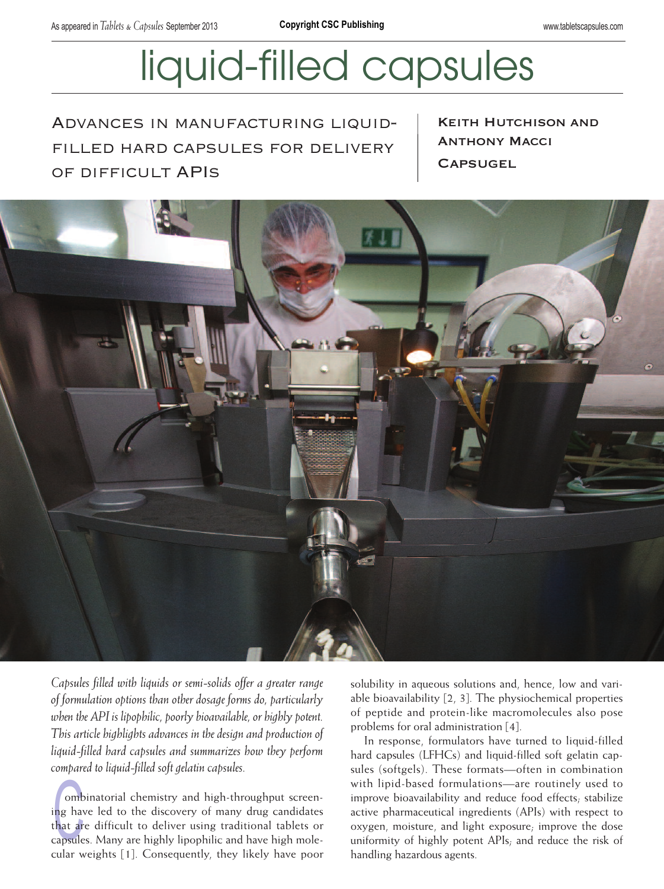# liquid-filled capsules

Advances in manufacturing liquidfilled hard capsules for delivery of difficult APIs

**KEITH HUTCHISON AND ANTHONY MACCI CAPSUGEL** 



*Capsules filled with liquids or semi-solids offer a greater range of formulation options than other dosage forms do, particularly when the API is lipophilic, poorly bioavailable, or highly potent. This article highlights advances in the design and production of liquid-filled hard capsules and summarizes how they perform compared to liquid-filled soft gelatin capsules.*

ombinatorial chemistry and high-throughput screen-<br>ing have led to the discovery of many drug candidates<br>that are difficult to deliver using traditional tablets or<br>capsules. Many are highly lipophilic and have high moleombinatorial chemistry and high-throughput screening have led to the discovery of many drug candidates that are difficult to deliver using traditional tablets or cular weights [1]. Consequently, they likely have poor solubility in aqueous solutions and, hence, low and variable bioavailability [2, 3]. The physiochemical properties of peptide and protein-like macromolecules also pose problems for oral administration [4].

In response, formulators have turned to liquid-filled hard capsules (LFHCs) and liquid-filled soft gelatin capsules (softgels). These formats—often in combination with lipid-based formulations—are routinely used to improve bioavailability and reduce food effects; stabilize active pharmaceutical ingredients (APIs) with respect to oxygen, moisture, and light exposure; improve the dose uniformity of highly potent APIs; and reduce the risk of handling hazardous agents.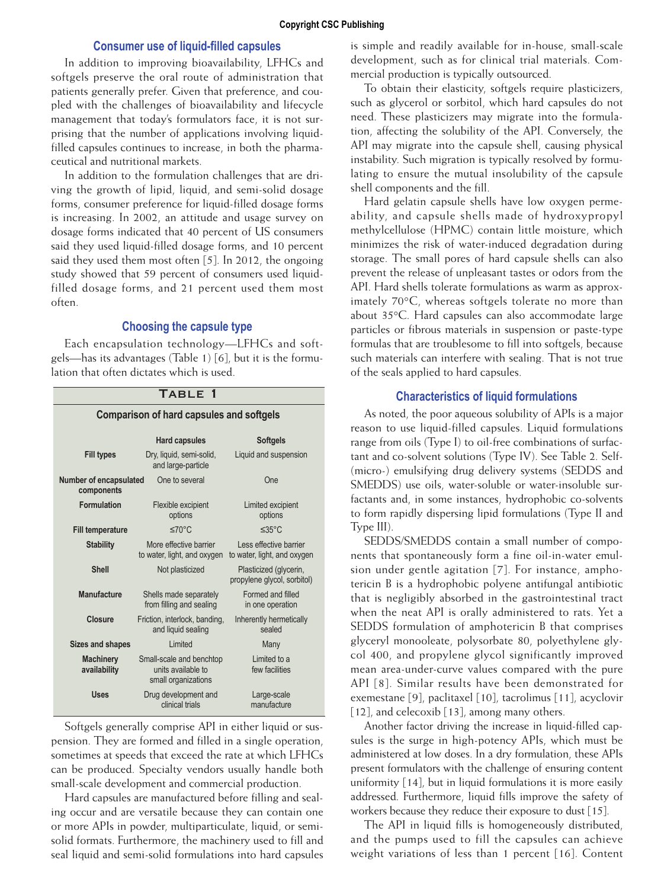## **Consumer use of liquid-filled capsules**

In addition to improving bioavailability, LFHCs and softgels preserve the oral route of administration that patients generally prefer. Given that preference, and coupled with the challenges of bioavailability and lifecycle management that today's formulators face, it is not surprising that the number of applications involving liquidfilled capsules continues to increase, in both the pharmaceutical and nutritional markets.

In addition to the formulation challenges that are driving the growth of lipid, liquid, and semi-solid dosage forms, consumer preference for liquid-filled dosage forms is increasing. In 2002, an attitude and usage survey on dosage forms indicated that 40 percent of US consumers said they used liquid-filled dosage forms, and 10 percent said they used them most often [5]. In 2012, the ongoing study showed that 59 percent of consumers used liquidfilled dosage forms, and 21 percent used them most often.

### **Choosing the capsule type**

Each encapsulation technology—LFHCs and softgels—has its advantages (Table 1) [6], but it is the formulation that often dictates which is used.

## Table 1

| <b>Comparison of hard capsules and softgels</b> |                                                                       |                                                       |  |  |  |  |
|-------------------------------------------------|-----------------------------------------------------------------------|-------------------------------------------------------|--|--|--|--|
|                                                 | <b>Hard capsules</b>                                                  | <b>Softgels</b>                                       |  |  |  |  |
| <b>Fill types</b>                               | Dry, liquid, semi-solid,<br>and large-particle                        | Liquid and suspension                                 |  |  |  |  |
| Number of encapsulated<br>components            | One to several                                                        | One                                                   |  |  |  |  |
| Formulation                                     | Flexible excipient<br>options                                         | Limited excipient<br>options                          |  |  |  |  |
| <b>Fill temperature</b>                         | ≤70°C<br>$\leq 35^{\circ}$ C                                          |                                                       |  |  |  |  |
| <b>Stability</b>                                | More effective barrier<br>to water, light, and oxygen                 | Less effective barrier<br>to water, light, and oxygen |  |  |  |  |
| <b>Shell</b>                                    | Not plasticized                                                       | Plasticized (glycerin,<br>propylene glycol, sorbitol) |  |  |  |  |
| <b>Manufacture</b>                              | Shells made separately<br>from filling and sealing                    | Formed and filled<br>in one operation                 |  |  |  |  |
| <b>Closure</b>                                  | Friction, interlock, banding,<br>and liquid sealing                   | Inherently hermetically<br>sealed                     |  |  |  |  |
| Sizes and shapes                                | Limited                                                               | Many                                                  |  |  |  |  |
| <b>Machinery</b><br>availability                | Small-scale and benchtop<br>units available to<br>small organizations | Limited to a<br>few facilities                        |  |  |  |  |
| Uses                                            | Drug development and<br>clinical trials                               | Large-scale<br>manufacture                            |  |  |  |  |

Softgels generally comprise API in either liquid or suspension. They are formed and filled in a single operation, sometimes at speeds that exceed the rate at which LFHCs can be produced. Specialty vendors usually handle both small-scale development and commercial production.

Hard capsules are manufactured before filling and sealing occur and are versatile because they can contain one or more APIs in powder, multiparticulate, liquid, or semisolid formats. Furthermore, the machinery used to fill and seal liquid and semi-solid formulations into hard capsules is simple and readily available for in-house, small-scale development, such as for clinical trial materials. Com mercial production is typically outsourced.

To obtain their elasticity, softgels require plasticizers, such as glycerol or sorbitol, which hard capsules do not need. These plasticizers may migrate into the formulation, affecting the solubility of the API. Conversely, the API may migrate into the capsule shell, causing physical instability. Such migration is typically resolved by formulating to ensure the mutual insolubility of the capsule shell components and the fill.

Hard gelatin capsule shells have low oxygen permeability, and capsule shells made of hydroxypropyl methylcellulose (HPMC) contain little moisture, which minimizes the risk of water-induced degradation during storage. The small pores of hard capsule shells can also prevent the release of unpleasant tastes or odors from the API. Hard shells tolerate formulations as warm as approximately 70°C, whereas softgels tolerate no more than about 35°C. Hard capsules can also accommodate large particles or fibrous materials in suspension or paste-type formulas that are troublesome to fill into softgels, because such materials can interfere with sealing. That is not true of the seals applied to hard capsules.

### **Characteristics of liquid formulations**

As noted, the poor aqueous solubility of APIs is a major reason to use liquid-filled capsules. Liquid formulations range from oils (Type I) to oil-free combinations of surfactant and co-solvent solutions (Type IV). See Table 2. Self- (micro-) emulsifying drug delivery systems (SEDDS and SMEDDS) use oils, water-soluble or water-insoluble surfactants and, in some instances, hydrophobic co-solvents to form rapidly dispersing lipid formulations (Type II and Type III).

SEDDS/SMEDDS contain a small number of components that spontaneously form a fine oil-in-water emulsion under gentle agitation [7]. For instance, amphotericin B is a hydrophobic polyene antifungal antibiotic that is negligibly absorbed in the gastrointestinal tract when the neat API is orally administered to rats. Yet a SEDDS formulation of amphotericin B that comprises glyceryl monooleate, polysorbate 80, polyethylene glycol 400, and propylene glycol significantly improved mean area-under-curve values compared with the pure API [8]. Similar results have been demonstrated for exemestane [9], paclitaxel [10], tacrolimus [11], acyclovir [12], and celecoxib [13], among many others.

Another factor driving the increase in liquid-filled capsules is the surge in high-potency APIs, which must be administered at low doses. In a dry formulation, these APIs present formulators with the challenge of ensuring content uniformity [14], but in liquid formulations it is more easily addressed. Furthermore, liquid fills improve the safety of workers because they reduce their exposure to dust [15].

The API in liquid fills is homogeneously distributed, and the pumps used to fill the capsules can achieve weight variations of less than 1 percent [16]. Content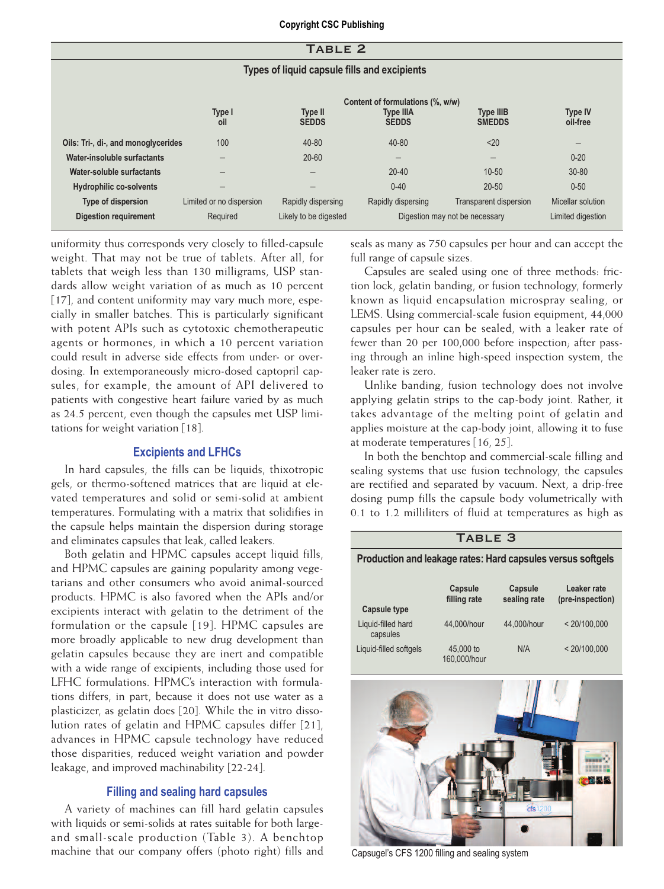| TABLE <sub>2</sub>                           |                          |                          |                                                                      |                                   |                            |  |
|----------------------------------------------|--------------------------|--------------------------|----------------------------------------------------------------------|-----------------------------------|----------------------------|--|
| Types of liquid capsule fills and excipients |                          |                          |                                                                      |                                   |                            |  |
|                                              | Type I<br>oil            | Type II<br><b>SEDDS</b>  | Content of formulations (%, w/w)<br><b>Type IIIA</b><br><b>SEDDS</b> | <b>Type IIIB</b><br><b>SMEDDS</b> | <b>Type IV</b><br>oil-free |  |
| Oils: Tri-, di-, and monoglycerides          | 100                      | 40-80                    | $40 - 80$                                                            | $20$                              | $\overline{\phantom{m}}$   |  |
| Water-insoluble surfactants                  |                          | $20 - 60$                | -                                                                    |                                   | $0 - 20$                   |  |
| Water-soluble surfactants                    | -                        | $\overline{\phantom{m}}$ | $20 - 40$                                                            | $10 - 50$                         | $30 - 80$                  |  |
| <b>Hydrophilic co-solvents</b>               | -                        | -                        | $0 - 40$                                                             | $20 - 50$                         | $0 - 50$                   |  |
| <b>Type of dispersion</b>                    | Limited or no dispersion | Rapidly dispersing       | Rapidly dispersing                                                   | <b>Transparent dispersion</b>     | Micellar solution          |  |
| <b>Digestion requirement</b>                 | Required                 | Likely to be digested    | Digestion may not be necessary                                       |                                   | Limited digestion          |  |

uniformity thus corresponds very closely to filled-capsule weight. That may not be true of tablets. After all, for tablets that weigh less than 130 milligrams, USP standards allow weight variation of as much as 10 percent [17], and content uniformity may vary much more, especially in smaller batches. This is particularly significant with potent APIs such as cytotoxic chemotherapeutic agents or hormones, in which a 10 percent variation could result in adverse side effects from under- or overdosing. In extemporaneously micro-dosed captopril capsules, for example, the amount of API delivered to patients with congestive heart failure varied by as much as 24.5 percent, even though the capsules met USP limitations for weight variation [18].

## **Excipients and LFHCs**

In hard capsules, the fills can be liquids, thixotropic gels, or thermo-softened matrices that are liquid at elevated temperatures and solid or semi-solid at ambient temperatures. Formulating with a matrix that solidifies in the capsule helps maintain the dispersion during storage and eliminates capsules that leak, called leakers.

Both gelatin and HPMC capsules accept liquid fills, and HPMC capsules are gaining popularity among vegetarians and other consumers who avoid animal-sourced products. HPMC is also favored when the APIs and/or excipients interact with gelatin to the detriment of the formulation or the capsule [19]. HPMC capsules are more broadly applicable to new drug development than gelatin capsules because they are inert and compatible with a wide range of excipients, including those used for LFHC formulations. HPMC's interaction with formulations differs, in part, because it does not use water as a plasticizer, as gelatin does [20]. While the in vitro dissolution rates of gelatin and HPMC capsules differ [21], advances in HPMC capsule technology have reduced those disparities, reduced weight variation and powder leakage, and improved machinability [22-24].

## **Filling and sealing hard capsules**

A variety of machines can fill hard gelatin capsules with liquids or semi-solids at rates suitable for both largeand small-scale production (Table 3). A benchtop machine that our company offers (photo right) fills and seals as many as 750 capsules per hour and can accept the full range of capsule sizes.

Capsules are sealed using one of three methods: friction lock, gelatin banding, or fusion technology, formerly known as liquid encapsulation microspray sealing, or LEMS. Using commercial-scale fusion equipment, 44,000 capsules per hour can be sealed, with a leaker rate of fewer than 20 per 100,000 before inspection; after passing through an inline high-speed inspection system, the leaker rate is zero.

Unlike banding, fusion technology does not involve applying gelatin strips to the cap-body joint. Rather, it takes advantage of the melting point of gelatin and applies moisture at the cap-body joint, allowing it to fuse at moderate temperatures [16, 25].

In both the benchtop and commercial-scale filling and sealing systems that use fusion technology, the capsules are rectified and separated by vacuum. Next, a drip-free dosing pump fills the capsule body volumetrically with 0.1 to 1.2 milliliters of fluid at temperatures as high as

## TABLE 3 **Production and leakage rates: Hard capsules versus softgels Capsule Capsule Leaker rate**<br> **Capsule Capsulisate Capsulisate** (pre-inspection (pre-inspection) **Capsule type** Liquid-filled hard 44,000/hour 44,000/hour < 20/100,000 capsules Liquid-filled softgels 45,000 to N/A < 20/100,000 160,000/hour



Capsugel's CFS 1200 filling and sealing system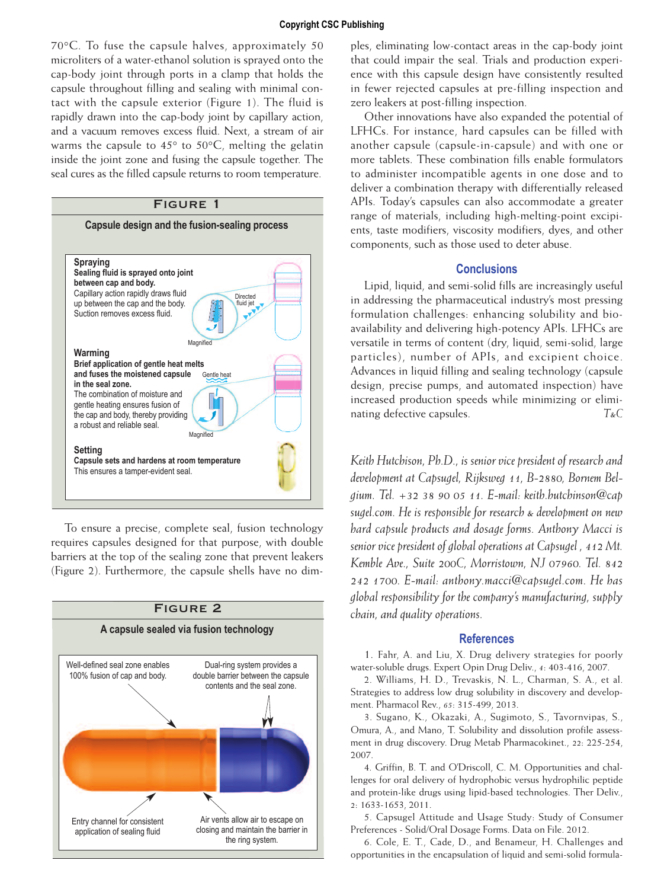70°C. To fuse the capsule halves, approximately 50 microliters of a water-ethanol solution is sprayed onto the cap-body joint through ports in a clamp that holds the capsule throughout filling and sealing with minimal contact with the capsule exterior (Figure 1). The fluid is rapidly drawn into the cap-body joint by capillary action, and a vacuum removes excess fluid. Next, a stream of air warms the capsule to  $45^{\circ}$  to  $50^{\circ}$ C, melting the gelatin inside the joint zone and fusing the capsule together. The seal cures as the filled capsule returns to room temperature.

## Figure 1



To ensure a precise, complete seal, fusion technology requires capsules designed for that purpose, with double barriers at the top of the sealing zone that prevent leakers (Figure 2). Furthermore, the capsule shells have no dim-



ples, eliminating low-contact areas in the cap-body joint that could impair the seal. Trials and production experience with this capsule design have consistently resulted in fewer rejected capsules at pre-filling inspection and zero leakers at post-filling inspection.

Other innovations have also expanded the potential of LFHCs. For instance, hard capsules can be filled with another capsule (capsule-in-capsule) and with one or more tablets. These combination fills enable formulators to administer incompatible agents in one dose and to deliver a combination therapy with differentially released APIs. Today's capsules can also accommodate a greater range of materials, including high-melting-point excipients, taste modifiers, viscosity modifiers, dyes, and other components, such as those used to deter abuse.

## **Conclusions**

Lipid, liquid, and semi-solid fills are increasingly useful in addressing the pharmaceutical industry's most pressing formulation challenges: enhancing solubility and bioavailability and delivering high-potency APIs. LFHCs are versatile in terms of content (dry, liquid, semi-solid, large particles), number of APIs, and excipient choice. Advances in liquid filling and sealing technology (capsule design, precise pumps, and automated inspection) have increased production speeds while minimizing or eliminating defective capsules. *T&C*

*Keith Hutchison, Ph.D., is senior vice president of research and development at Capsugel, Rijksweg 11, B-2880, Bornem Belgium. Tel. +32 38 90 05 11. E-mail: keith.hutchinson@cap sugel.com. He is responsible for research & development on new hard capsule products and dosage forms. Anthony Macci is senior vice president of global operations at Capsugel , 412 Mt. Kemble Ave., Suite 200C, Morristown, NJ 07960. Tel. 842 242 1700. E-mail: anthony.macci@capsugel.com. He has global responsibility for the company's manufacturing, supply chain, and quality operations.*

## **References**

1. Fahr, A. and Liu, X. Drug delivery strategies for poorly water-soluble drugs. Expert Opin Drug Deliv., *4*: 403-416, 2007.

2. Williams, H. D., Trevaskis, N. L., Charman, S. A., et al. Strategies to address low drug solubility in discovery and development. Pharmacol Rev., *65*: 315-499, 2013.

3. Sugano, K., Okazaki, A., Sugimoto, S., Tavornvipas, S., Omura, A., and Mano, T. Solubility and dissolution profile assessment in drug discovery. Drug Metab Pharmacokinet., *22*: 225-254, 2007.

4. Griffin, B. T. and O'Driscoll, C. M. Opportunities and challenges for oral delivery of hydrophobic versus hydrophilic peptide and protein-like drugs using lipid-based technologies. Ther Deliv., *2*: 1633-1653, 2011.

5. Capsugel Attitude and Usage Study: Study of Consumer Preferences - Solid/Oral Dosage Forms. Data on File. 2012.

6. Cole, E. T., Cade, D., and Benameur, H. Challenges and opportunities in the encapsulation of liquid and semi-solid formula